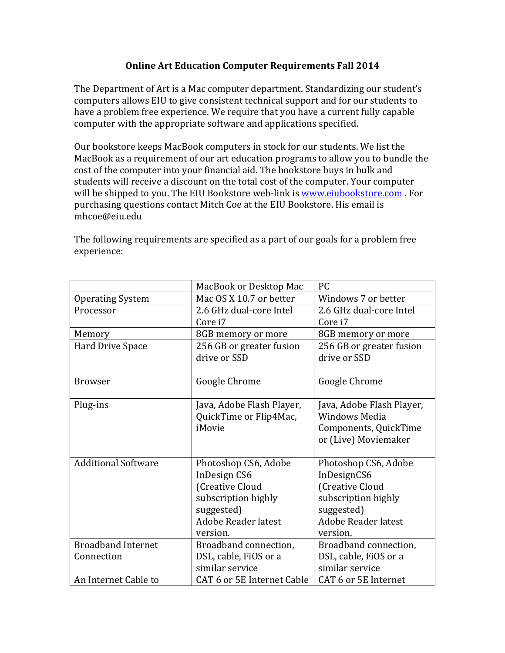## **Online Art Education Computer Requirements Fall 2014**

The Department of Art is a Mac computer department. Standardizing our student's computers allows EIU to give consistent technical support and for our students to have a problem free experience. We require that you have a current fully capable computer with the appropriate software and applications specified.

Our bookstore keeps MacBook computers in stock for our students. We list the MacBook as a requirement of our art education programs to allow you to bundle the cost of the computer into your financial aid. The bookstore buys in bulk and students will receive a discount on the total cost of the computer. Your computer will be shipped to you. The EIU Bookstore web-link is www.eiubookstore.com . For purchasing questions contact Mitch Coe at the EIU Bookstore. His email is mhcoe@eiu.edu

|                            | MacBook or Desktop Mac     | PC.                       |
|----------------------------|----------------------------|---------------------------|
| <b>Operating System</b>    | Mac OS X 10.7 or better    | Windows 7 or better       |
| Processor                  | 2.6 GHz dual-core Intel    | 2.6 GHz dual-core Intel   |
|                            | Core i7                    | Core i7                   |
| Memory                     | 8GB memory or more         | 8GB memory or more        |
| Hard Drive Space           | 256 GB or greater fusion   | 256 GB or greater fusion  |
|                            | drive or SSD               | drive or SSD              |
|                            |                            |                           |
| <b>Browser</b>             | Google Chrome              | Google Chrome             |
|                            |                            |                           |
| Plug-ins                   | Java, Adobe Flash Player,  | Java, Adobe Flash Player, |
|                            | QuickTime or Flip4Mac,     | <b>Windows Media</b>      |
|                            | iMovie                     | Components, QuickTime     |
|                            |                            | or (Live) Moviemaker      |
|                            |                            |                           |
| <b>Additional Software</b> | Photoshop CS6, Adobe       | Photoshop CS6, Adobe      |
|                            | InDesign CS6               | InDesignCS6               |
|                            | (Creative Cloud            | (Creative Cloud           |
|                            | subscription highly        | subscription highly       |
|                            | suggested)                 | suggested)                |
|                            | <b>Adobe Reader latest</b> | Adobe Reader latest       |
|                            | version.                   | version.                  |
| <b>Broadband Internet</b>  | Broadband connection,      | Broadband connection,     |
| Connection                 | DSL, cable, FiOS or a      | DSL, cable, FiOS or a     |
|                            | similar service            | similar service           |
| An Internet Cable to       | CAT 6 or 5E Internet Cable | CAT 6 or 5E Internet      |

The following requirements are specified as a part of our goals for a problem free experience: